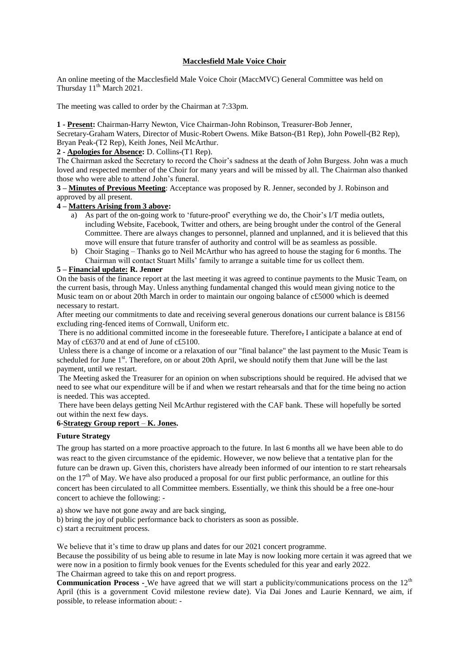# **Macclesfield Male Voice Choir**

An online meeting of the Macclesfield Male Voice Choir (MaccMVC) General Committee was held on Thursday  $11<sup>th</sup>$  March 2021.

The meeting was called to order by the Chairman at 7:33pm.

**1 - Present:** Chairman-Harry Newton, Vice Chairman-John Robinson, Treasurer-Bob Jenner,

Secretary-Graham Waters, Director of Music-Robert Owens. Mike Batson-(B1 Rep), John Powell-(B2 Rep), Bryan Peak-(T2 Rep), Keith Jones, Neil McArthur.

**2 - Apologies for Absence:** D. Collins-(T1 Rep).

The Chairman asked the Secretary to record the Choir's sadness at the death of John Burgess. John was a much loved and respected member of the Choir for many years and will be missed by all. The Chairman also thanked those who were able to attend John's funeral.

**3 – Minutes of Previous Meeting**: Acceptance was proposed by R. Jenner, seconded by J. Robinson and approved by all present.

## **4 – Matters Arising from 3 above:**

- a) As part of the on-going work to 'future-proof' everything we do, the Choir's I/T media outlets, including Website, Facebook, Twitter and others, are being brought under the control of the General Committee. There are always changes to personnel, planned and unplanned, and it is believed that this move will ensure that future transfer of authority and control will be as seamless as possible.
- b) Choir Staging Thanks go to Neil McArthur who has agreed to house the staging for 6 months. The Chairman will contact Stuart Mills' family to arrange a suitable time for us collect them.

# **5 – Financial update: R. Jenner**

On the basis of the finance report at the last meeting it was agreed to continue payments to the Music Team, on the current basis, through May. Unless anything fundamental changed this would mean giving notice to the Music team on or about 20th March in order to maintain our ongoing balance of c£5000 which is deemed necessary to restart.

After meeting our commitments to date and receiving several generous donations our current balance is £8156 excluding ring-fenced items of Cornwall, Uniform etc.

There is no additional committed income in the foreseeable future. Therefore, I anticipate a balance at end of May of c£6370 and at end of June of c£5100.

Unless there is a change of income or a relaxation of our "final balance" the last payment to the Music Team is scheduled for June 1<sup>st</sup>. Therefore, on or about 20th April, we should notify them that June will be the last payment, until we restart.

The Meeting asked the Treasurer for an opinion on when subscriptions should be required. He advised that we need to see what our expenditure will be if and when we restart rehearsals and that for the time being no action is needed. This was accepted.

There have been delays getting Neil McArthur registered with the CAF bank. These will hopefully be sorted out within the next few days.

# **6-Strategy Group report** – **K. Jones.**

### **Future Strategy**

The group has started on a more proactive approach to the future. In last 6 months all we have been able to do was react to the given circumstance of the epidemic. However, we now believe that a tentative plan for the future can be drawn up. Given this, choristers have already been informed of our intention to re start rehearsals on the  $17<sup>th</sup>$  of May. We have also produced a proposal for our first public performance, an outline for this concert has been circulated to all Committee members. Essentially, we think this should be a free one-hour concert to achieve the following: -

a) show we have not gone away and are back singing,

b) bring the joy of public performance back to choristers as soon as possible.

c) start a recruitment process.

We believe that it's time to draw up plans and dates for our 2021 concert programme.

Because the possibility of us being able to resume in late May is now looking more certain it was agreed that we were now in a position to firmly book venues for the Events scheduled for this year and early 2022. The Chairman agreed to take this on and report progress.

**Communication Process -** We have agreed that we will start a publicity/communications process on the 12<sup>th</sup> April (this is a government Covid milestone review date). Via Dai Jones and Laurie Kennard, we aim, if possible, to release information about: -